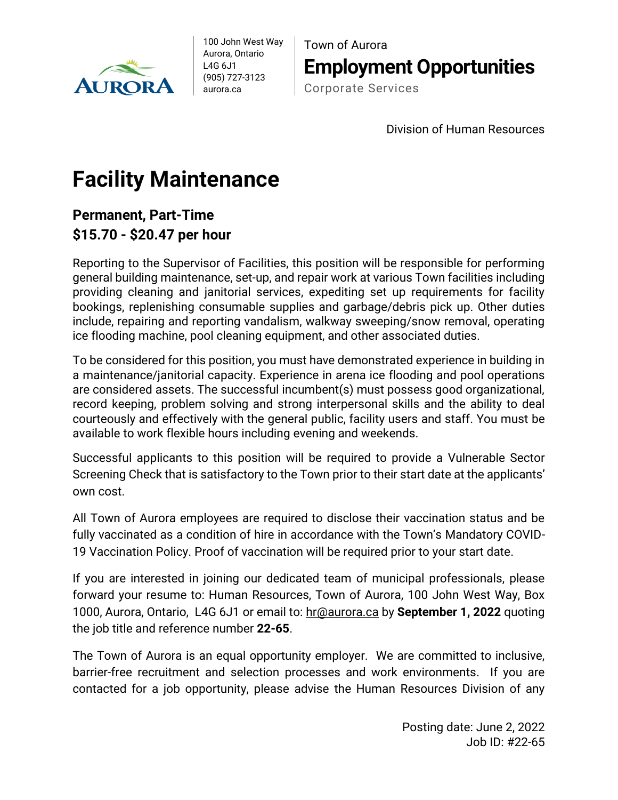

100 John West Way Aurora, Ontario L4G 6J1 (905) 727-3123 aurora.ca

Town of Aurora **Employment Opportunities** Corporate Services

Division of Human Resources

## **Facility Maintenance**

## **Permanent, Part-Time \$15.70 - \$20.47 per hour**

Reporting to the Supervisor of Facilities, this position will be responsible for performing general building maintenance, set-up, and repair work at various Town facilities including providing cleaning and janitorial services, expediting set up requirements for facility bookings, replenishing consumable supplies and garbage/debris pick up. Other duties include, repairing and reporting vandalism, walkway sweeping/snow removal, operating ice flooding machine, pool cleaning equipment, and other associated duties.

To be considered for this position, you must have demonstrated experience in building in a maintenance/janitorial capacity. Experience in arena ice flooding and pool operations are considered assets. The successful incumbent(s) must possess good organizational, record keeping, problem solving and strong interpersonal skills and the ability to deal courteously and effectively with the general public, facility users and staff. You must be available to work flexible hours including evening and weekends.

Successful applicants to this position will be required to provide a Vulnerable Sector Screening Check that is satisfactory to the Town prior to their start date at the applicants' own cost.

All Town of Aurora employees are required to disclose their vaccination status and be fully vaccinated as a condition of hire in accordance with the Town's Mandatory COVID-19 Vaccination Policy. Proof of vaccination will be required prior to your start date.

If you are interested in joining our dedicated team of municipal professionals, please forward your resume to: Human Resources, Town of Aurora, 100 John West Way, Box 1000, Aurora, Ontario, L4G 6J1 or email to: [hr@aurora.ca](mailto:hr@aurora.ca) by **September 1, 2022** quoting the job title and reference number **22-65**.

The Town of Aurora is an equal opportunity employer. We are committed to inclusive, barrier-free recruitment and selection processes and work environments. If you are contacted for a job opportunity, please advise the Human Resources Division of any